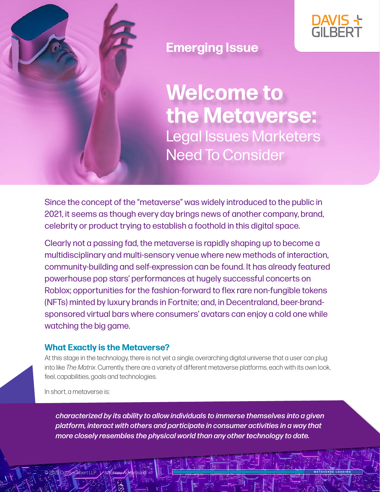



### **Emerging Issue**

**Welcome to the Metaverse:** Legal Issues Marketers Need To Consider

Since the concept of the "metaverse" was widely introduced to the public in 2021, it seems as though every day brings news of another company, brand, celebrity or product trying to establish a foothold in this digital space.

Clearly not a passing fad, the metaverse is rapidly shaping up to become a multidisciplinary and multi-sensory venue where new methods of interaction, community-building and self-expression can be found. It has already featured powerhouse pop stars' performances at hugely successful concerts on Roblox; opportunities for the fashion-forward to flex rare non-fungible tokens (NFTs) minted by luxury brands in Fortnite; and, in Decentraland, beer-brandsponsored virtual bars where consumers' avatars can enjoy a cold one while watching the big game.

### **What Exactly is the Metaverse?**

At this stage in the technology, there is not yet a single, overarching digital universe that a user can plug into like *The Matrix*. Currently, there are a variety of different metaverse platforms, each with its own look, feel, capabilities, goals and technologies.

In short, a metaverse is:

*characterized by its ability to allow individuals to immerse themselves into a given platform, interact with others and participate in consumer activities in a way that more closely resembles the physical world than any other technology to date.* 

© 2022 Davis+Gilbert LLP | Attorney Advertising **METAVERSE LOADING**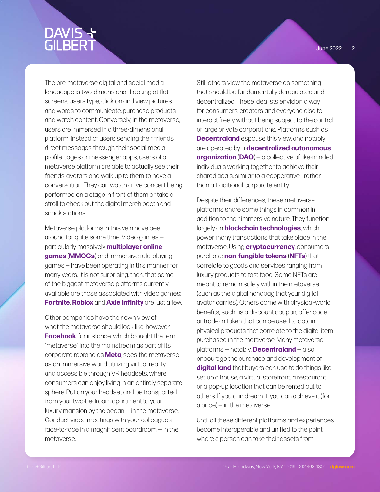The pre-metaverse digital and social media landscape is two-dimensional. Looking at flat screens, users type, click on and view pictures and words to communicate, purchase products and watch content. Conversely, in the metaverse, users are immersed in a three-dimensional platform. Instead of users sending their friends direct messages through their social media profile pages or messenger apps, users of a metaverse platform are able to actually see their friends' avatars and walk up to them to have a conversation. They can watch a live concert being performed on a stage in front of them or take a stroll to check out the digital merch booth and snack stations.

Metaverse platforms in this vein have been around for quite some time. Video games particularly massively **multiplayer online games** (**MMOGs**) and immersive role-playing games — have been operating in this manner for many years. It is not surprising, then, that some of the biggest metaverse platforms currently available are those associated with video games: **Fortnite**, **Roblox** and **Axie Infinity** are just a few.

Other companies have their own view of what the metaverse should look like, however. **Facebook**, for instance, which brought the term "metaverse" into the mainstream as part of its corporate rebrand as **Meta**, sees the metaverse as an immersive world utilizing virtual reality and accessible through VR headsets, where consumers can enjoy living in an entirely separate sphere. Put on your headset and be transported from your two-bedroom apartment to your luxury mansion by the ocean — in the metaverse. Conduct video meetings with your colleagues face-to-face in a magnificent boardroom — in the metaverse.

Still others view the metaverse as something that should be fundamentally deregulated and decentralized. These idealists envision a way for consumers, creators and everyone else to interact freely without being subject to the control of large private corporations. Platforms such as **Decentraland** espouse this view, and notably are operated by a **decentralized autonomous organization** (**DAO**) — a collective of like-minded individuals working together to achieve their shared goals, similar to a cooperative—rather than a traditional corporate entity.

Despite their differences, these metaverse platforms share some things in common in addition to their immersive nature. They function largely on **blockchain technologies**, which power many transactions that take place in the metaverse. Using **cryptocurrency**, consumers purchase **non-fungible tokens** (**NFTs**) that correlate to goods and services ranging from luxury products to fast food. Some NFTs are meant to remain solely within the metaverse (such as the digital handbag that your digital avatar carries). Others come with physical-world benefits, such as a discount coupon, offer code or trade-in token that can be used to obtain physical products that correlate to the digital item purchased in the metaverse. Many metaverse platforms — notably, **Decentraland** — also encourage the purchase and development of **digital land** that buyers can use to do things like set up a house, a virtual storefront, a restaurant or a pop-up location that can be rented out to others. If you can dream it, you can achieve it (for a price) — in the metaverse.

Until all these different platforms and experiences become interoperable and unified to the point where a person can take their assets from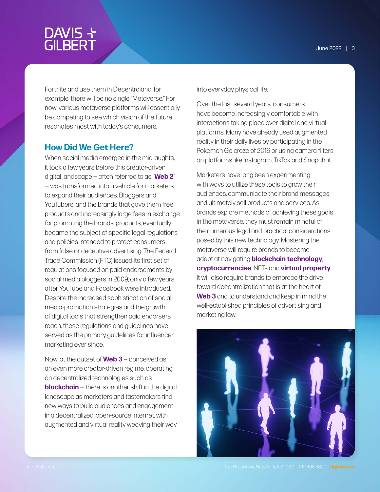# DAVIS +<br>GILBERT

Fortnite and use them in Decentraland, for example, there will be no single "Metaverse." For now, various metaverse platforms will essentially be competing to see which vision of the future resonates most with today's consumers.

### **How Did We Get Here?**

When social media emerged in the mid-aughts, it took a few years before this creator-driven digital landscape — often referred to as "**Web 2**" — was transformed into a vehicle for marketers to expand their audiences. Bloggers and YouTubers, and the brands that gave them free products and increasingly large fees in exchange for promoting the brands' products, eventually became the subject of specific legal regulations and policies intended to protect consumers from false or deceptive advertising. The Federal Trade Commission (FTC) issued its first set of regulations focused on paid endorsements by social media bloggers in 2009, only a few years after YouTube and Facebook were introduced. Despite the increased sophistication of socialmedia-promotion strategies and the growth of digital tools that strengthen paid endorsers' reach, these regulations and guidelines have served as the primary guidelines for influencer marketing ever since.

Now, at the outset of **Web 3** — conceived as an even more creator-driven regime, operating on decentralized technologies such as **blockchain** – there is another shift in the digital landscape as marketers and tastemakers find new ways to build audiences and engagement in a decentralized, open-source internet, with augmented and virtual reality weaving their way into everyday physical life.

Over the last several years, consumers have become increasingly comfortable with interactions taking place over digital and virtual platforms. Many have already used augmented reality in their daily lives by participating in the Pokemon Go craze of 2016 or using camera filters on platforms like Instagram, TikTok and Snapchat.

Marketers have long been experimenting with ways to utilize these tools to grow their audiences, communicate their brand messages, and ultimately sell products and services. As brands explore methods of achieving these goals in the metaverse, they must remain mindful of the numerous legal and practical considerations posed by this new technology. Mastering the metaverse will require brands to become adept at navigating **blockchain technology**, **cryptocurrencies**, NFTs and **virtual property**. It will also require brands to embrace the drive toward decentralization that is at the heart of **Web 3** and to understand and keep in mind the well-established principles of advertising and marketing law.

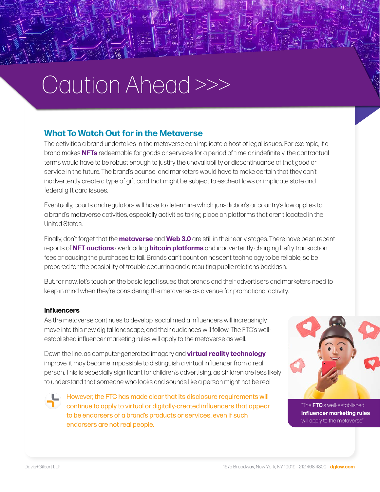# Caution Ahead >>>

### **What To Watch Out for in the Metaverse**

The activities a brand undertakes in the metaverse can implicate a host of legal issues. For example, if a brand makes **NFTs** redeemable for goods or services for a period of time or indefinitely, the contractual terms would have to be robust enough to justify the unavailability or discontinuance of that good or service in the future. The brand's counsel and marketers would have to make certain that they don't inadvertently create a type of gift card that might be subject to escheat laws or implicate state and federal gift card issues.

Eventually, courts and regulators will have to determine which jurisdiction's or country's law applies to a brand's metaverse activities, especially activities taking place on platforms that aren't located in the United States.

Finally, don't forget that the **metaverse** and **Web 3.0** are still in their early stages. There have been recent reports of **NFT auctions** overloading **bitcoin platforms** and inadvertently charging hefty transaction fees or causing the purchases to fail. Brands can't count on nascent technology to be reliable, so be prepared for the possibility of trouble occurring and a resulting public relations backlash.

But, for now, let's touch on the basic legal issues that brands and their advertisers and marketers need to keep in mind when they're considering the metaverse as a venue for promotional activity.

### **Influencers**

As the metaverse continues to develop, social media influencers will increasingly move into this new digital landscape, and their audiences will follow. The FTC's wellestablished influencer marketing rules will apply to the metaverse as well.

Down the line, as computer-generated imagery and **virtual reality technology** improve, it may become impossible to distinguish a virtual influencer from a real person. This is especially significant for children's advertising, as children are less likely to understand that someone who looks and sounds like a person might not be real.

However, the FTC has made clear that its disclosure requirements will continue to apply to virtual or digitally-created influencers that appear to be endorsers of a brand's products or services, even if such endorsers are not real people.



"The **FTC**'s well-established **influencer marketing rules** will apply to the metaverse"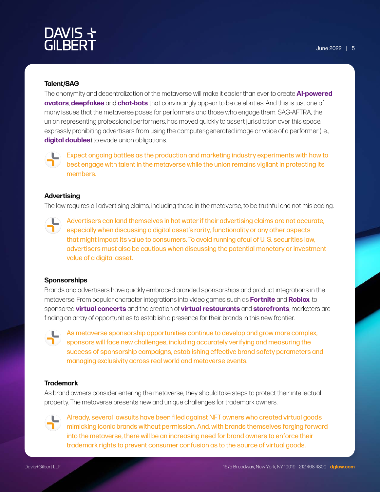# ר DAVIS<br>GILBERT

### **Talent/SAG**

The anonymity and decentralization of the metaverse will make it easier than ever to create **AI-powered avatars**, **deepfakes** and **chat-bots** that convincingly appear to be celebrities. And this is just one of many issues that the metaverse poses for performers and those who engage them. SAG-AFTRA, the union representing professional performers, has moved quickly to assert jurisdiction over this space, expressly prohibiting advertisers from using the computer-generated image or voice of a performer (i.e., **digital doubles**) to evade union obligations.



Expect ongoing battles as the production and marketing industry experiments with how to best engage with talent in the metaverse while the union remains vigilant in protecting its members.

#### **Advertising**

The law requires all advertising claims, including those in the metaverse, to be truthful and not misleading.

Advertisers can land themselves in hot water if their advertising claims are not accurate, especially when discussing a digital asset's rarity, functionality or any other aspects that might impact its value to consumers. To avoid running afoul of U. S. securities law, advertisers must also be cautious when discussing the potential monetary or investment value of a digital asset.

#### **Sponsorships**

Brands and advertisers have quickly embraced branded sponsorships and product integrations in the metaverse. From popular character integrations into video games such as **Fortnite** and **Roblox**, to sponsored **virtual concerts** and the creation of **virtual restaurants** and **storefronts**, marketers are finding an array of opportunities to establish a presence for their brands in this new frontier.



As metaverse sponsorship opportunities continue to develop and grow more complex, sponsors will face new challenges, including accurately verifying and measuring the success of sponsorship campaigns, establishing effective brand safety parameters and managing exclusivity across real world and metaverse events.

#### **Trademark**

As brand owners consider entering the metaverse, they should take steps to protect their intellectual property. The metaverse presents new and unique challenges for trademark owners.



Already, several lawsuits have been filed against NFT owners who created virtual goods mimicking iconic brands without permission. And, with brands themselves forging forward into the metaverse, there will be an increasing need for brand owners to enforce their trademark rights to prevent consumer confusion as to the source of virtual goods.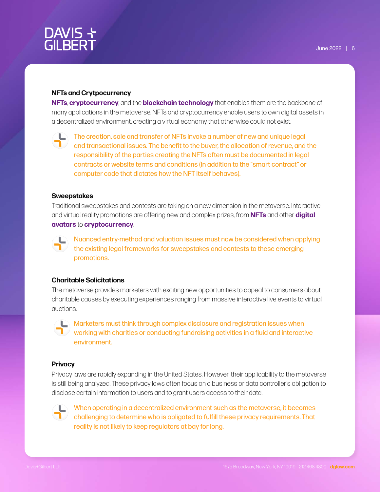## DAVIS 누<br>GILBERT

#### **NFTs and Crytpocurrency**

**NFTs**, **cryptocurrency**, and the **blockchain technology** that enables them are the backbone of many applications in the metaverse. NFTs and cryptocurrency enable users to own digital assets in a decentralized environment, creating a virtual economy that otherwise could not exist.



The creation, sale and transfer of NFTs invoke a number of new and unique legal and transactional issues. The benefit to the buyer, the allocation of revenue, and the responsibility of the parties creating the NFTs often must be documented in legal contracts or website terms and conditions (in addition to the "smart contract" or computer code that dictates how the NFT itself behaves).

#### **Sweepstakes**

Traditional sweepstakes and contests are taking on a new dimension in the metaverse. Interactive and virtual reality promotions are offering new and complex prizes, from **NFTs** and other **digital avatars** to **cryptocurrency**.



Nuanced entry-method and valuation issues must now be considered when applying the existing legal frameworks for sweepstakes and contests to these emerging promotions.

#### **Charitable Solicitations**

The metaverse provides marketers with exciting new opportunities to appeal to consumers about charitable causes by executing experiences ranging from massive interactive live events to virtual auctions.



 $\Box$  Marketers must think through complex disclosure and registration issues when working with charities or conducting fundraising activities in a fluid and interactive environment.

#### **Privacy**

Privacy laws are rapidly expanding in the United States. However, their applicability to the metaverse is still being analyzed. These privacy laws often focus on a business or data controller's obligation to disclose certain information to users and to grant users access to their data.



When operating in a decentralized environment such as the metaverse, it becomes challenging to determine who is obligated to fulfill these privacy requirements. That reality is not likely to keep regulators at bay for long.